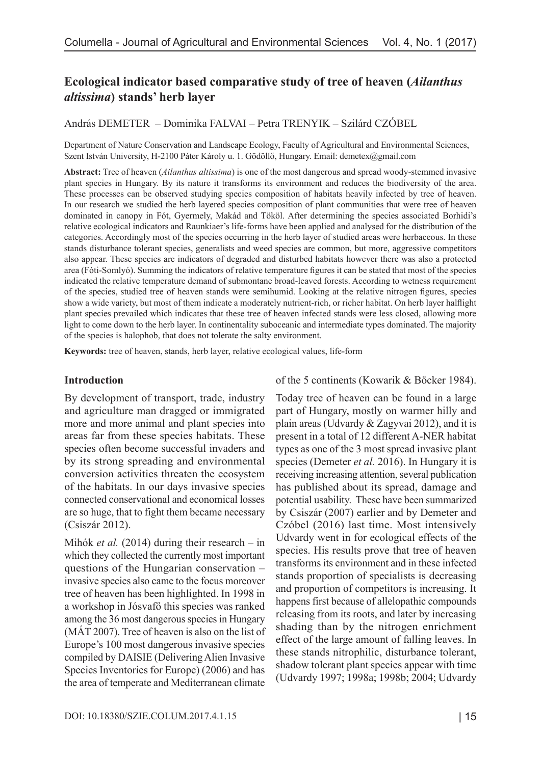# **Ecological indicator based comparative study of tree of heaven (***Ailanthus altissima***) stands' herb layer**

András DEMETER – Dominika FALVAI – Petra TRENYIK – Szilárd CZÓBEL

Department of Nature Conservation and Landscape Ecology, Faculty of Agricultural and Environmental Sciences, Szent István University, H-2100 Páter Károly u. 1. Gödöllő, Hungary. Email: [demetex@gmail.com](mailto:demetex@gmail.com)

**Abstract:** Tree of heaven (*Ailanthus altissima*) is one of the most dangerous and spread woody-stemmed invasive plant species in Hungary. By its nature it transforms its environment and reduces the biodiversity of the area. These processes can be observed studying species composition of habitats heavily infected by tree of heaven. In our research we studied the herb layered species composition of plant communities that were tree of heaven dominated in canopy in Fót, Gyermely, Makád and Tököl. After determining the species associated Borhidi's relative ecological indicators and Raunkiaer's life-forms have been applied and analysed for the distribution of the categories. Accordingly most of the species occurring in the herb layer of studied areas were herbaceous. In these stands disturbance tolerant species, generalists and weed species are common, but more, aggressive competitors also appear. These species are indicators of degraded and disturbed habitats however there was also a protected area (Fóti-Somlyó). Summing the indicators of relative temperature figures it can be stated that most of the species indicated the relative temperature demand of submontane broad-leaved forests. According to wetness requirement of the species, studied tree of heaven stands were semihumid. Looking at the relative nitrogen figures, species show a wide variety, but most of them indicate a moderately nutrient-rich, or richer habitat. On herb layer halflight plant species prevailed which indicates that these tree of heaven infected stands were less closed, allowing more light to come down to the herb layer. In continentality suboceanic and intermediate types dominated. The majority of the species is halophob, that does not tolerate the salty environment.

**Keywords:** tree of heaven, stands, herb layer, relative ecological values, life-form

#### **Introduction**

By development of transport, trade, industry and agriculture man dragged or immigrated more and more animal and plant species into areas far from these species habitats. These species often become successful invaders and by its strong spreading and environmental conversion activities threaten the ecosystem of the habitats. In our days invasive species connected conservational and economical losses are so huge, that to fight them became necessary (Csiszár 2012).

Mihók *et al.* (2014) during their research – in which they collected the currently most important questions of the Hungarian conservation – invasive species also came to the focus moreover tree of heaven has been highlighted. In 1998 in a workshop in Jósvafő this species was ranked among the 36 most dangerous species in Hungary (MÁT 2007). Tree of heaven is also on the list of Europe's 100 most dangerous invasive species compiled by DAISIE (Delivering Alien Invasive Species Inventories for Europe) (2006) and has the area of temperate and Mediterranean climate

#### of the 5 continents (Kowarik & Böcker 1984).

Today tree of heaven can be found in a large part of Hungary, mostly on warmer hilly and plain areas (Udvardy & Zagyvai 2012), and it is present in a total of 12 different A-NER habitat types as one of the 3 most spread invasive plant species (Demeter *et al.* 2016). In Hungary it is receiving increasing attention, several publication has published about its spread, damage and potential usability. These have been summarized by Csiszár (2007) earlier and by Demeter and Czóbel (2016) last time. Most intensively Udvardy went in for ecological effects of the species. His results prove that tree of heaven transforms its environment and in these infected stands proportion of specialists is decreasing and proportion of competitors is increasing. It happens first because of allelopathic compounds releasing from its roots, and later by increasing shading than by the nitrogen enrichment effect of the large amount of falling leaves. In these stands nitrophilic, disturbance tolerant, shadow tolerant plant species appear with time (Udvardy 1997; 1998a; 1998b; 2004; Udvardy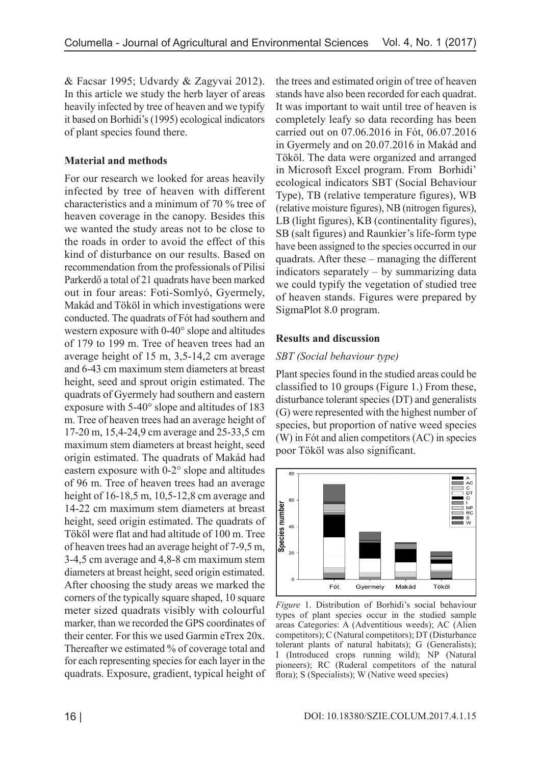& Facsar 1995; Udvardy & Zagyvai 2012). In this article we study the herb layer of areas heavily infected by tree of heaven and we typify it based on Borhidi's (1995) ecological indicators of plant species found there.

# **Material and methods**

For our research we looked for areas heavily infected by tree of heaven with different characteristics and a minimum of 70 % tree of heaven coverage in the canopy. Besides this we wanted the study areas not to be close to the roads in order to avoid the effect of this kind of disturbance on our results. Based on recommendation from the professionals of Pilisi Parkerdő a total of 21 quadrats have been marked out in four areas: Foti-Somlyó, Gyermely, Makád and Tököl in which investigations were conducted. The quadrats of Fót had southern and western exposure with 0-40° slope and altitudes of 179 to 199 m. Tree of heaven trees had an average height of 15 m, 3,5-14,2 cm average and 6-43 cm maximum stem diameters at breast height, seed and sprout origin estimated. The quadrats of Gyermely had southern and eastern exposure with 5-40° slope and altitudes of 183 m. Tree of heaven trees had an average height of 17-20 m, 15,4-24,9 cm average and 25-33,5 cm maximum stem diameters at breast height, seed origin estimated. The quadrats of Makád had eastern exposure with 0-2° slope and altitudes of 96 m. Tree of heaven trees had an average height of 16-18,5 m, 10,5-12,8 cm average and 14-22 cm maximum stem diameters at breast height, seed origin estimated. The quadrats of Tököl were flat and had altitude of 100 m. Tree of heaven trees had an average height of 7-9,5 m, 3-4,5 cm average and 4,8-8 cm maximum stem diameters at breast height, seed origin estimated. After choosing the study areas we marked the corners of the typically square shaped, 10 square meter sized quadrats visibly with colourful marker, than we recorded the GPS coordinates of their center. For this we used Garmin eTrex 20x. Thereafter we estimated % of coverage total and for each representing species for each layer in the quadrats. Exposure, gradient, typical height of

the trees and estimated origin of tree of heaven stands have also been recorded for each quadrat. It was important to wait until tree of heaven is completely leafy so data recording has been carried out on 07.06.2016 in Fót, 06.07.2016 in Gyermely and on 20.07.2016 in Makád and Tököl. The data were organized and arranged in Microsoft Excel program. From Borhidi' ecological indicators SBT (Social Behaviour Type), TB (relative temperature figures), WB (relative moisture figures), NB (nitrogen figures), LB (light figures), KB (continentality figures), SB (salt figures) and Raunkier's life-form type have been assigned to the species occurred in our quadrats. After these – managing the different indicators separately – by summarizing data we could typify the vegetation of studied tree of heaven stands. Figures were prepared by SigmaPlot 8.0 program.

# **Results and discussion**

#### *SBT (Social behaviour type)*

Plant species found in the studied areas could be classified to 10 groups (Figure 1.) From these, disturbance tolerant species (DT) and generalists (G) were represented with the highest number of species, but proportion of native weed species (W) in Fót and alien competitors (AC) in species poor Tököl was also significant.



*Figure* 1. Distribution of Borhidi's social behaviour types of plant species occur in the studied sample areas Categories: A (Adventitious weeds); AC (Alien competitors); C (Natural competitors); DT (Disturbance tolerant plants of natural habitats); G (Generalists); I (Introduced crops running wild); NP (Natural pioneers); RC (Ruderal competitors of the natural flora); S (Specialists); W (Native weed species)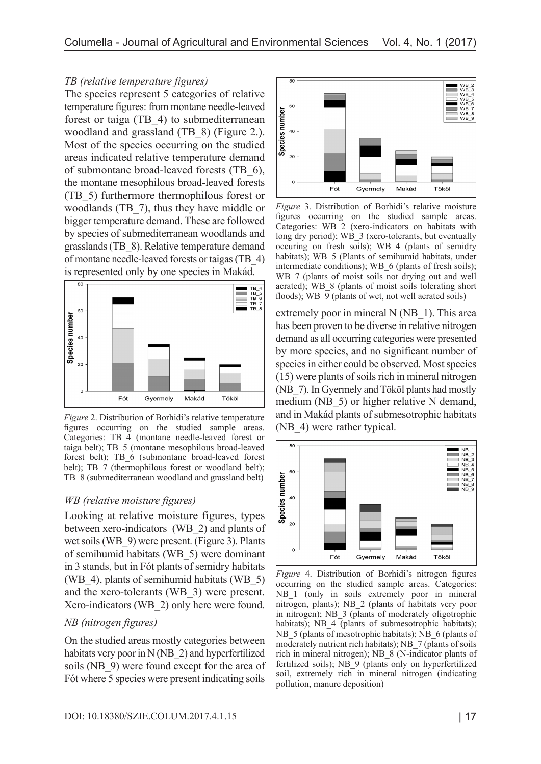#### *TB (relative temperature figures)*

The species represent 5 categories of relative temperature figures: from montane needle-leaved forest or taiga (TB\_4) to submediterranean woodland and grassland (TB\_8) (Figure 2.). Most of the species occurring on the studied areas indicated relative temperature demand of submontane broad-leaved forests (TB\_6), the montane mesophilous broad-leaved forests (TB\_5) furthermore thermophilous forest or woodlands (TB\_7), thus they have middle or bigger temperature demand. These are followed by species of submediterranean woodlands and grasslands (TB\_8). Relative temperature demand of montane needle-leaved forests or taigas (TB\_4) is represented only by one species in Makád.



*Figure* 2. Distribution of Borhidi's relative temperature figures occurring on the studied sample areas. Categories: TB\_4 (montane needle-leaved forest or taiga belt); TB  $\overline{5}$  (montane mesophilous broad-leaved forest belt); TB\_6 (submontane broad-leaved forest belt); TB\_7 (thermophilous forest or woodland belt); TB 8 (submediterranean woodland and grassland belt)

# *WB (relative moisture figures)*

Looking at relative moisture figures, types between xero-indicators (WB\_2) and plants of wet soils (WB 9) were present. (Figure 3). Plants of semihumid habitats (WB\_5) were dominant in 3 stands, but in Fót plants of semidry habitats (WB 4), plants of semihumid habitats (WB  $5$ ) and the xero-tolerants (WB\_3) were present. Xero-indicators (WB\_2) only here were found.

#### *NB (nitrogen figures)*

On the studied areas mostly categories between habitats very poor in N (NB\_2) and hyperfertilized soils (NB 9) were found except for the area of Fót where 5 species were present indicating soils



*Figure* 3. Distribution of Borhidi's relative moisture figures occurring on the studied sample areas. Categories: WB\_2 (xero-indicators on habitats with long dry period); WB 3 (xero-tolerants, but eventually occuring on fresh soils); WB\_4 (plants of semidry habitats); WB 5 (Plants of semihumid habitats, under intermediate conditions); WB\_6 (plants of fresh soils); WB 7 (plants of moist soils not drying out and well aerated); WB\_8 (plants of moist soils tolerating short floods); WB 9 (plants of wet, not well aerated soils)

extremely poor in mineral N (NB 1). This area has been proven to be diverse in relative nitrogen demand as all occurring categories were presented by more species, and no significant number of species in either could be observed. Most species (15) were plants of soils rich in mineral nitrogen (NB\_7). In Gyermely and Tököl plants had mostly medium (NB 5) or higher relative N demand, and in Makád plants of submesotrophic habitats (NB\_4) were rather typical.



*Figure* 4. Distribution of Borhidi's nitrogen figures occurring on the studied sample areas. Categories: NB\_1 (only in soils extremely poor in mineral nitrogen, plants); NB\_2 (plants of habitats very poor in nitrogen); NB\_3 (plants of moderately oligotrophic habitats); NB 4 (plants of submesotrophic habitats); NB 5 (plants of mesotrophic habitats); NB 6 (plants of moderately nutrient rich habitats); NB 7 (plants of soils rich in mineral nitrogen); NB\_8 (N-indicator plants of fertilized soils); NB\_9 (plants only on hyperfertilized soil, extremely rich in mineral nitrogen (indicating pollution, manure deposition)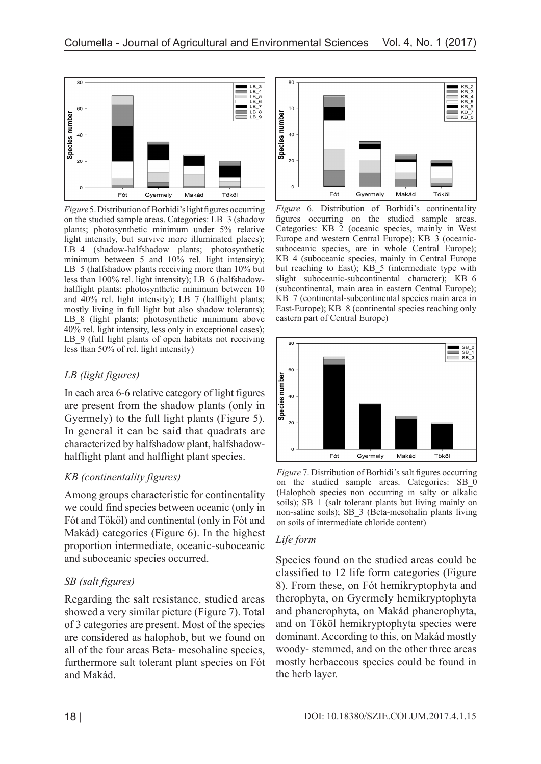

*Figure* 5. Distribution of Borhidi's light figures occurring on the studied sample areas. Categories: LB\_3 (shadow plants; photosynthetic minimum under 5% relative light intensity, but survive more illuminated places); LB\_4 (shadow-halfshadow plants; photosynthetic minimum between 5 and 10% rel. light intensity); LB 5 (halfshadow plants receiving more than 10% but less than 100% rel. light intensity); LB\_6 (halfshadowhalflight plants; photosynthetic minimum between 10 and 40% rel. light intensity); LB 7 (halflight plants; mostly living in full light but also shadow tolerants); LB 8 (light plants; photosynthetic minimum above 40% rel. light intensity, less only in exceptional cases); LB 9 (full light plants of open habitats not receiving less than 50% of rel. light intensity)

# *LB (light figures)*

In each area 6-6 relative category of light figures are present from the shadow plants (only in Gyermely) to the full light plants (Figure 5). In general it can be said that quadrats are characterized by halfshadow plant, halfshadowhalflight plant and halflight plant species.

# *KB (continentality figures)*

Among groups characteristic for continentality we could find species between oceanic (only in Fót and Tököl) and continental (only in Fót and Makád) categories (Figure 6). In the highest proportion intermediate, oceanic-suboceanic and suboceanic species occurred.

# *SB (salt figures)*

Regarding the salt resistance, studied areas showed a very similar picture (Figure 7). Total of 3 categories are present. Most of the species are considered as halophob, but we found on all of the four areas Beta- mesohaline species, furthermore salt tolerant plant species on Fót and Makád.



*Figure* 6. Distribution of Borhidi's continentality figures occurring on the studied sample areas. Categories: KB\_2 (oceanic species, mainly in West Europe and western Central Europe); KB\_3 (oceanicsuboceanic species, are in whole Central Europe); KB\_4 (suboceanic species, mainly in Central Europe but reaching to East); KB\_5 (intermediate type with slight suboceanic-subcontinental character); KB 6 (subcontinental, main area in eastern Central Europe); KB 7 (continental-subcontinental species main area in East-Europe); KB  $\,$  8 (continental species reaching only eastern part of Central Europe)



*Figure* 7. Distribution of Borhidi's salt figures occurring on the studied sample areas. Categories: SB\_0 (Halophob species non occurring in salty or alkalic soils); SB\_1 (salt tolerant plants but living mainly on non-saline soils); SB\_3 (Beta-mesohalin plants living on soils of intermediate chloride content)

# *Life form*

Species found on the studied areas could be classified to 12 life form categories (Figure 8). From these, on Fót hemikryptophyta and therophyta, on Gyermely hemikryptophyta and phanerophyta, on Makád phanerophyta, and on Tököl hemikryptophyta species were dominant. According to this, on Makád mostly woody- stemmed, and on the other three areas mostly herbaceous species could be found in the herb layer.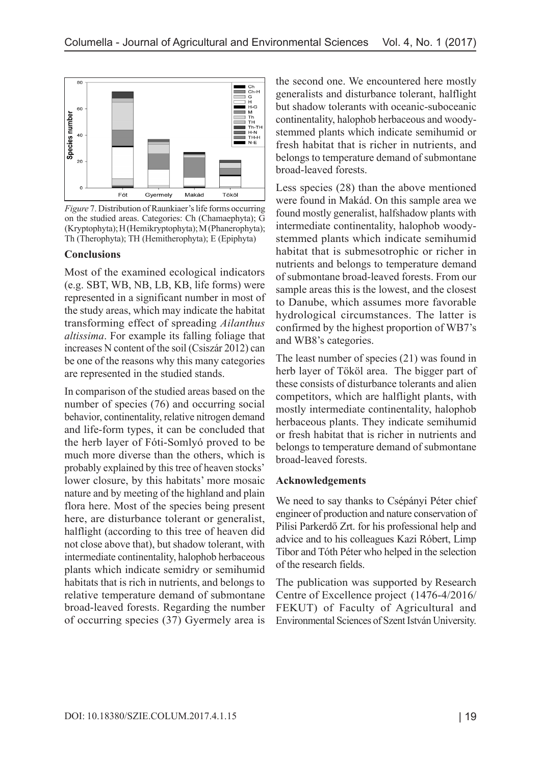

*Figure* 7. Distribution of Raunkiaer's life forms occurring on the studied areas. Categories: Ch (Chamaephyta); G (Kryptophyta); H (Hemikryptophyta); M (Phanerophyta); Th (Therophyta); TH (Hemitherophyta); E (Epiphyta)

#### **Conclusions**

Most of the examined ecological indicators (e.g. SBT, WB, NB, LB, KB, life forms) were represented in a significant number in most of the study areas, which may indicate the habitat transforming effect of spreading *Ailanthus altissima*. For example its falling foliage that increases N content of the soil (Csiszár 2012) can be one of the reasons why this many categories are represented in the studied stands.

In comparison of the studied areas based on the number of species (76) and occurring social behavior, continentality, relative nitrogen demand and life-form types, it can be concluded that the herb layer of Fóti-Somlyó proved to be much more diverse than the others, which is probably explained by this tree of heaven stocks' lower closure, by this habitats' more mosaic nature and by meeting of the highland and plain flora here. Most of the species being present here, are disturbance tolerant or generalist, halflight (according to this tree of heaven did not close above that), but shadow tolerant, with intermediate continentality, halophob herbaceous plants which indicate semidry or semihumid habitats that is rich in nutrients, and belongs to relative temperature demand of submontane broad-leaved forests. Regarding the number of occurring species (37) Gyermely area is

the second one. We encountered here mostly generalists and disturbance tolerant, halflight but shadow tolerants with oceanic-suboceanic continentality, halophob herbaceous and woodystemmed plants which indicate semihumid or fresh habitat that is richer in nutrients, and belongs to temperature demand of submontane broad-leaved forests.

Less species (28) than the above mentioned were found in Makád. On this sample area we found mostly generalist, halfshadow plants with intermediate continentality, halophob woodystemmed plants which indicate semihumid habitat that is submesotrophic or richer in nutrients and belongs to temperature demand of submontane broad-leaved forests. From our sample areas this is the lowest, and the closest to Danube, which assumes more favorable hydrological circumstances. The latter is confirmed by the highest proportion of WB7's and WB8's categories.

The least number of species (21) was found in herb layer of Tököl area. The bigger part of these consists of disturbance tolerants and alien competitors, which are halflight plants, with mostly intermediate continentality, halophob herbaceous plants. They indicate semihumid or fresh habitat that is richer in nutrients and belongs to temperature demand of submontane broad-leaved forests.

#### **Acknowledgements**

We need to say thanks to Csépányi Péter chief engineer of production and nature conservation of Pilisi Parkerdő Zrt. for his professional help and advice and to his colleagues Kazi Róbert, Limp Tibor and Tóth Péter who helped in the selection of the research fields.

The publication was supported by Research Centre of Excellence project (1476-4/2016/ FEKUT) of Faculty of Agricultural and Environmental Sciences of Szent István University.